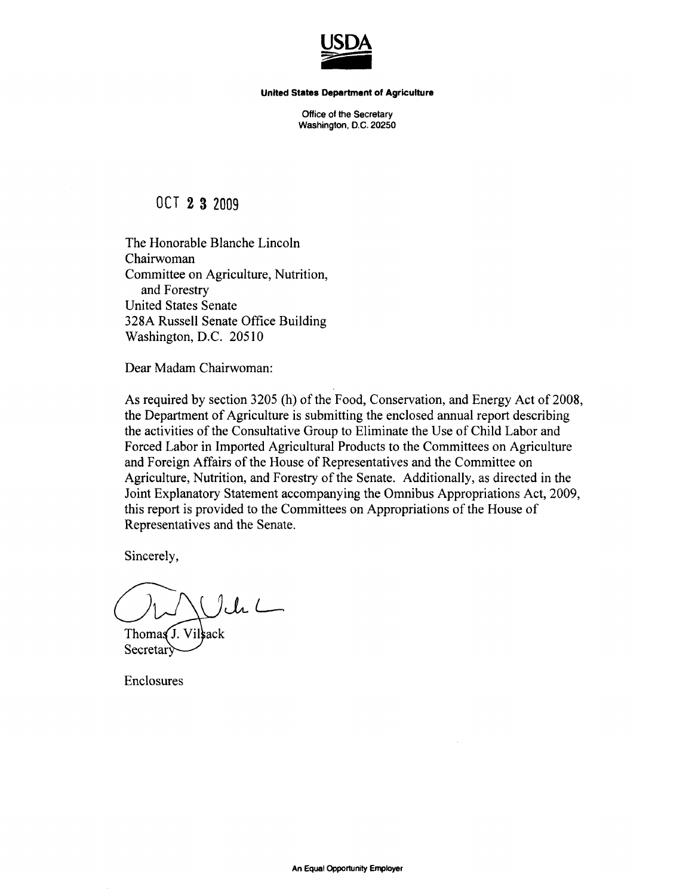

**United States Department of Agrlcuiture** 

Office of the Secretary Washington, D.C. 20250

**OCT 2 3 2009** 

The Honorable Blanche Lincoln Chairwoman Committee on Agriculture, Nutrition, and Forestry United States Senate 328A Russell Senate Office Building Washington, D.C. 20510

Dear Madam Chairwoman:

As required by section 3205 (h) of the Food, Conservation, and Energy Act of 2008, the Department of Agriculture is submitting the enclosed annual report describing the activities of the Consultative Group to Eliminate the Use of Child Labor and Forced Labor in Imported Agricultural Products to the Committees on Agriculture and Foreign Affairs of the House of Representatives and the Committee on Agriculture, Nutrition, and Forestry of the Senate. Additionally, as directed in the Joint Explanatory Statement accompanying the Omnibus Appropriations Act, 2009, this report is provided to the Committees on Appropriations of the House of Representatives and the Senate.

Sincerely,

 $Juh$ 

Thomas J. Vilsack Secretar)

Enclosures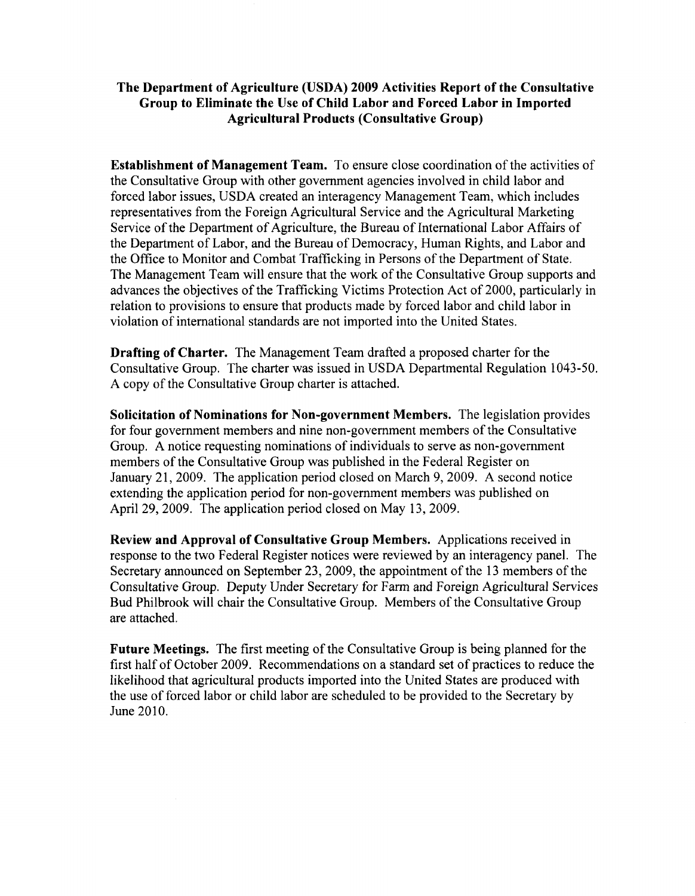#### **The Department of Agriculture (USDA) 2009 Activities Report of the Consultative Group to Eliminate the Use of Child Labor and Forced Labor in Imported Agricultural Products (Consultative Group)**

**Establishment of Management Team.** To ensure close coordination of the activities of the Consultative Group with other govemment agencies involved in child labor and forced labor issues, USDA created an interagency Management Team, which includes representatives from the Foreign Agricultural Service and the Agricultural Marketing Service of the Department of Agriculture, the Bureau of International Labor Affairs of the Department of Labor, and the Bureau of Democracy, Human Rights, and Labor and the Office to Monitor and Combat Trafficking in Persons of the Department of State. The Management Team will ensure that the work of the Consultative Group supports and advances the objectives of the Trafficking Victims Protection Act of 2000, particularly in relation to provisions to ensure that products made by forced labor and child labor in violation of intemational standards are not imported into the United States.

Drafting of Charter. The Management Team drafted a proposed charter for the Consultative Group. The charter was issued in USDA Departmental Regulation 1043-50. A copy of the Consultative Group charter is attached.

Solicitation of Nominations for Non-government Members. The legislation provides for four government members and nine non-government members of the Consultative Group. A notice requesting nominations of individuals to serve as non-government members of the Consultative Group was published in the Federal Register on January 21, 2009. The application period closed on March 9, 2009. A second notice extending the application period for non-government members was published on April 29, 2009. The application period closed on May 13, 2009.

Review and Approval of Consultative Group Members. Applications received in response to the two Federal Register notices were reviewed by an interagency panel. The Secretary announced on September 23, 2009, the appointment of the 13 members of the Consultative Group. Deputy Under Secretary for Farm and Foreign Agricultural Services Bud Philbrook will chair the Consultative Group. Members of the Consultative Group are attached.

**Future Meetings.** The first meeting of the Consultative Group is being planned for the first half of October 2009. Recommendations on a standard set of practices to reduce the likelihood that agricultural products imported into the United States are produced with the use of forced labor or child labor are scheduled to be provided to the Secretary by June 2010.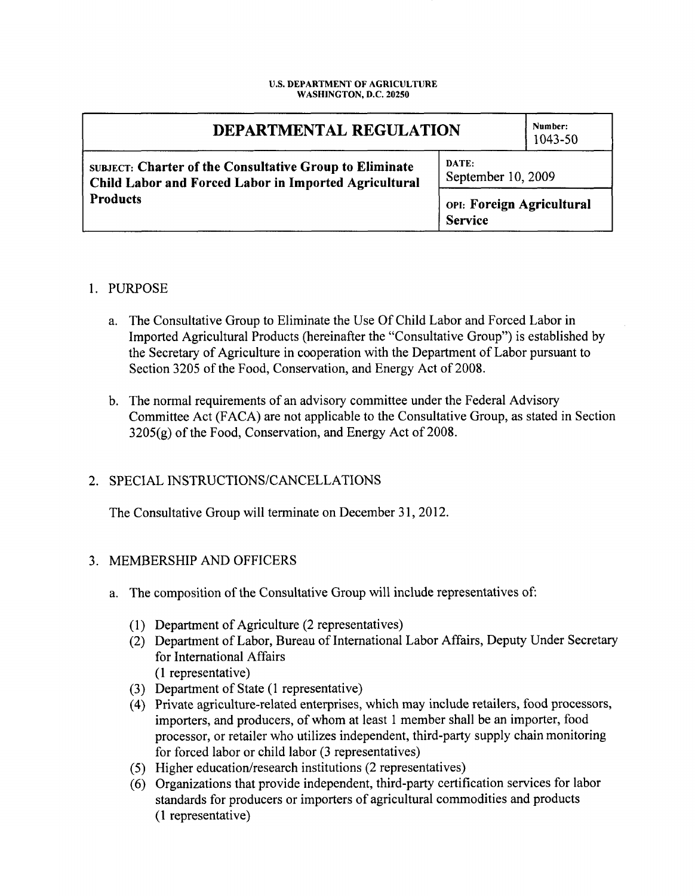#### **U.S. DEPARTMENT OF AGRICULTURE WASHINGTON, D.C. 20250**

| DEPARTMENTAL REGULATION                                                                                          |                                             | Number:<br>1043-50 |
|------------------------------------------------------------------------------------------------------------------|---------------------------------------------|--------------------|
| SUBJECT: Charter of the Consultative Group to Eliminate<br>Child Labor and Forced Labor in Imported Agricultural | DATE:<br>September 10, 2009                 |                    |
| <b>Products</b>                                                                                                  | OPI: Foreign Agricultural<br><b>Service</b> |                    |

#### 1. PURPOSE

- a. The Consultative Group to Eliminate the Use Of Child Labor and Forced Labor in Imported Agricultural Products (hereinafter the "Consultative Group") is established by the Secretary of Agriculture in cooperation with the Department of Labor pursuant to Section 3205 of the Food, Conservation, and Energy Act of 2008.
- b. The normal requirements of an advisory committee under the Federal Advisory Committee Act (FACA) are not applicable to the Consultative Group, as stated in Section  $3205(g)$  of the Food, Conservation, and Energy Act of 2008.

## 2. SPECIAL INSTRUCTIONS/CANCELLATIONS

The Consultative Group will terminate on December 31, 2012.

## 3. MEMBERSHIP AND OFFICERS

- a. The composition of the Consultative Group will include representatives of:
	- (1) Department of Agriculture  $(2 \text{ representatives})$
	- (2) Department of Labor, Bureau of Intemational Labor Affairs, Deputy Under Secretary for Intemational Affairs (1 representative)
	- (3) Department of State (1 representative)
	- (4) Private agriculture-related enterprises, which may include retailers, food processors, importers, and producers, of whom at least 1 member shall be an importer, food processor, or retailer who utilizes independent, third-party supply chain monitoring for forced labor or child labor (3 representatives)
	- (5) Higher education/research institutions (2 representatives)
	- (6) Organizations that provide independent, third-party certification services for labor standards for producers or importers of agricultural commodities and products (1 representative)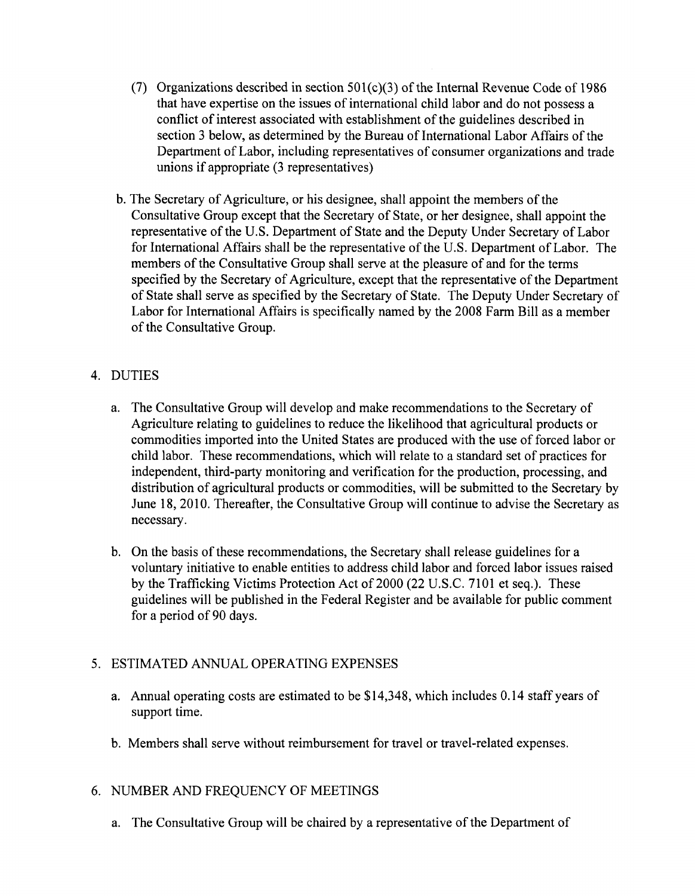- (7) Organizations described in section  $501(c)(3)$  of the Internal Revenue Code of 1986 that have expertise on the issues of intemational child labor and do not possess a conflict of interest associated with establishment of the guidelines described in section 3 below, as determined by the Bureau of International Labor Affairs of the Department of Labor, including representatives of consumer organizations and trade unions if appropriate (3 representatives)
- b. The Secretary of Agriculture, or his designee, shall appoint the members of the Consultative Group except that the Secretary of State, or her designee, shall appoint the representative of the U.S. Department of State and the Deputy Under Secretary of Labor for International Affairs shall be the representative of the U.S. Department of Labor. The members of the Consultative Group shall serve at the pleasure of and for the terms specified by the Secretary of Agriculture, except that the representative of the Department of State shall serve as specified by the Secretary of State. The Deputy Under Secretary of Labor for Intemational Affairs is specifically named by the 2008 Farm Bill as a member of the Consultative Group.

# 4. DUTIES

- a. The Consultative Group will develop and make recommendations to the Secretary of Agriculture relating to guidelines to reduce the likelihood that agricultural products or commodities imported into the United States are produced with the use of forced labor or child labor. These recommendations, which will relate to a standard set of practices for independent, third-party monitoring and verification for the production, processing, and distribution of agricultural products or commodities, will be submitted to the Secretary by June 18, 2010. Thereafter, the Consultative Group will continue to advise the Secretary as necessary.
- b. On the basis of these recommendations, the Secretary shall release guidelines for a voluntary initiative to enable entities to address child labor and forced labor issues raised by the Trafficking Victims Protection Act of 2000 (22 U.S.C. 7101 et seq.). These guidelines will be published in the Federal Register and be available for public comment for a period of 90 days.

# 5. ESTIMATED ANNUAL OPERATING EXPENSES

- a. Armual operating costs are estimated to be \$14,348, which includes 0.14 staff years of support time.
- b. Members shall serve without reimbursement for travel or travel-related expenses.

## 6. NUMBER AND FREQUENCY OF MEETINGS

a. The Consultative Group will be chaired by a representative of the Department of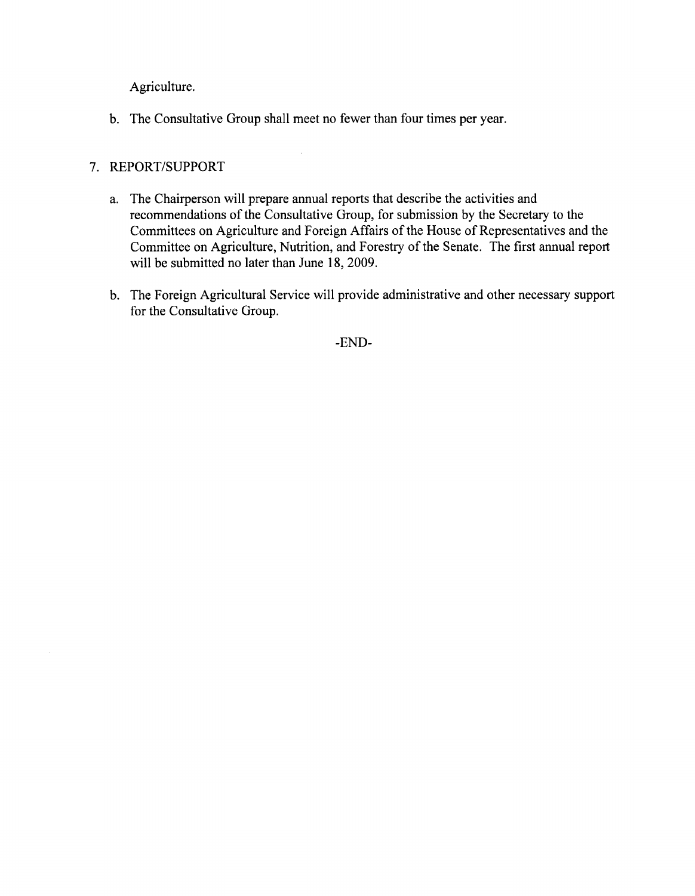Agriculture,

b. The Consultative Group shall meet no fewer than four times per year.

#### 7. REPORT/SUPPORT

- a. The Chairperson will prepare annual reports that describe the activities and recommendations of the Consultative Group, for submission by the Secretary to the Committees on Agriculture and Foreign Affairs of the House of Representatives and the Committee on Agriculture, Nutrition, and Forestry of the Senate. The first annual report will be submitted no later than June 18, 2009.
- b. The Foreign Agricultural Service will provide administrative and other necessary support for the Consultative Group.

-END-